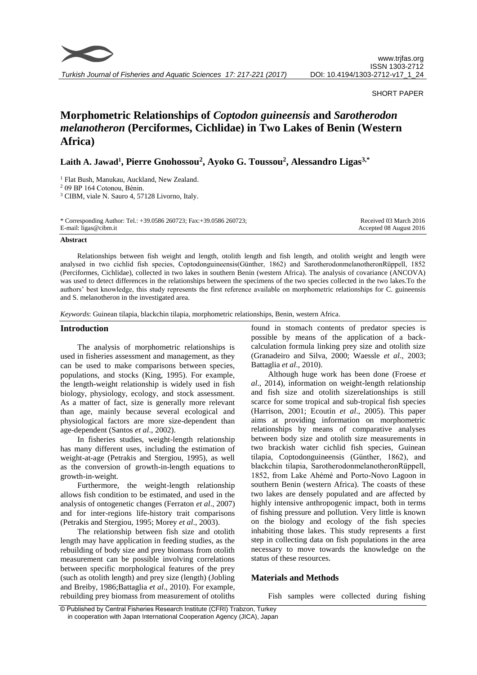

*Turkish Journal of Fisheries and Aquatic Sciences 17: 217-221 (2017)*

#### SHORT PAPER

# **Morphometric Relationships of** *Coptodon guineensis* **and** *Sarotherodon melanotheron* **(Perciformes, Cichlidae) in Two Lakes of Benin (Western Africa)**

**Laith A. Jawad<sup>1</sup> , Pierre Gnohossou<sup>2</sup> , Ayoko G. Toussou<sup>2</sup> , Alessandro Ligas3,\***

<sup>1</sup> Flat Bush, Manukau, Auckland, New Zealand.

<sup>2</sup> 09 BP 164 Cotonou, Bénin.

<sup>3</sup> CIBM, viale N. Sauro 4, 57128 Livorno, Italy.

| * Corresponding Author: Tel.: +39.0586 260723; Fax:+39.0586 260723; | Received 03 March 2016  |
|---------------------------------------------------------------------|-------------------------|
| E-mail: ligas@cibm.it                                               | Accepted 08 August 2016 |

#### **Abstract**

Relationships between fish weight and length, otolith length and fish length, and otolith weight and length were analysed in two cichlid fish species, Coptodonguineensis(Günther, 1862) and SarotherodonmelanotheronRüppell, 1852 (Perciformes, Cichlidae), collected in two lakes in southern Benin (western Africa). The analysis of covariance (ANCOVA) was used to detect differences in the relationships between the specimens of the two species collected in the two lakes.To the authors' best knowledge, this study represents the first reference available on morphometric relationships for C. guineensis and S. melanotheron in the investigated area.

*Keywords*: Guinean tilapia, blackchin tilapia, morphometric relationships, Benin, western Africa.

## **Introduction**

The analysis of morphometric relationships is used in fisheries assessment and management, as they can be used to make comparisons between species, populations, and stocks (King, 1995). For example, the length-weight relationship is widely used in fish biology, physiology, ecology, and stock assessment. As a matter of fact, size is generally more relevant than age, mainly because several ecological and physiological factors are more size-dependent than age-dependent (Santos *et al*., 2002).

In fisheries studies, weight-length relationship has many different uses, including the estimation of weight-at-age (Petrakis and Stergiou, 1995), as well as the conversion of growth-in-length equations to growth-in-weight.

Furthermore, the weight-length relationship allows fish condition to be estimated, and used in the analysis of ontogenetic changes (Ferraton *et al*., 2007) and for inter-regions life-history trait comparisons (Petrakis and Stergiou, 1995; Morey *et al*., 2003).

The relationship between fish size and otolith length may have application in feeding studies, as the rebuilding of body size and prey biomass from otolith measurement can be possible involving correlations between specific morphological features of the prey (such as otolith length) and prey size (length) (Jobling and Breiby, 1986;Battaglia *et al*., 2010). For example, rebuilding prey biomass from measurement of otoliths

found in stomach contents of predator species is possible by means of the application of a backcalculation formula linking prey size and otolith size (Granadeiro and Silva, 2000; Waessle *et al*., 2003; Battaglia *et al*., 2010).

Although huge work has been done (Froese *et al*., 2014), information on weight-length relationship and fish size and otolith sizerelationships is still scarce for some tropical and sub-tropical fish species (Harrison, 2001; Ecoutin *et al*., 2005). This paper aims at providing information on morphometric relationships by means of comparative analyses between body size and otolith size measurements in two brackish water cichlid fish species, Guinean tilapia, Coptodonguineensis (Günther, 1862), and blackchin tilapia, SarotherodonmelanotheronRüppell, 1852, from Lake Ahémé and Porto-Novo Lagoon in southern Benin (western Africa). The coasts of these two lakes are densely populated and are affected by highly intensive anthropogenic impact, both in terms of fishing pressure and pollution. Very little is known on the biology and ecology of the fish species inhabiting those lakes. This study represents a first step in collecting data on fish populations in the area necessary to move towards the knowledge on the status of these resources.

## **Materials and Methods**

Fish samples were collected during fishing

© Published by Central Fisheries Research Institute (CFRI) Trabzon, Turkey in cooperation with Japan International Cooperation Agency (JICA), Japan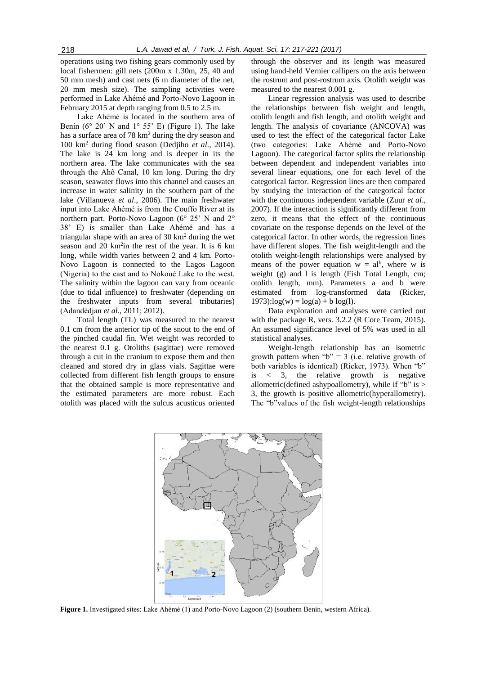operations using two fishing gears commonly used by local fishermen: gill nets (200m x 1.30m, 25, 40 and 50 mm mesh) and cast nets (6 m diameter of the net, 20 mm mesh size). The sampling activities were performed in Lake Ahémé and Porto-Novo Lagoon in February 2015 at depth ranging from 0.5 to 2.5 m.

Lake Ahémé is located in the southern area of Benin ( $6^{\circ}$  20' N and  $1^{\circ}$  55' E) (Figure 1). The lake has a surface area of 78 km<sup>2</sup> during the dry season and 100 km<sup>2</sup> during flood season (Dedjiho *et al*., 2014). The lake is 24 km long and is deeper in its the northern area. The lake communicates with the sea through the Ahô Canal, 10 km long. During the dry season, seawater flows into this channel and causes an increase in water salinity in the southern part of the lake (Villanueva *et al*., 2006). The main freshwater input into Lake Ahémé is from the Couffo River at its northern part. Porto-Novo Lagoon (6° 25' N and 2° 38' E) is smaller than Lake Ahémé and has a triangular shape with an area of 30 km<sup>2</sup> during the wet season and 20  $km<sup>2</sup>$ in the rest of the year. It is 6 km long, while width varies between 2 and 4 km. Porto-Novo Lagoon is connected to the Lagos Lagoon (Nigeria) to the east and to Nokoué Lake to the west. The salinity within the lagoon can vary from oceanic (due to tidal influence) to freshwater (depending on the freshwater inputs from several tributaries) (Adandédjan *et al*., 2011; 2012).

Total length (TL) was measured to the nearest 0.1 cm from the anterior tip of the snout to the end of the pinched caudal fin. Wet weight was recorded to the nearest 0.1 g. Otoliths (sagittae) were removed through a cut in the cranium to expose them and then cleaned and stored dry in glass vials. Sagittae were collected from different fish length groups to ensure that the obtained sample is more representative and the estimated parameters are more robust. Each otolith was placed with the sulcus acusticus oriented through the observer and its length was measured using hand-held Vernier callipers on the axis between the rostrum and post-rostrum axis. Otolith weight was measured to the nearest 0.001 g.

Linear regression analysis was used to describe the relationships between fish weight and length, otolith length and fish length, and otolith weight and length. The analysis of covariance (ANCOVA) was used to test the effect of the categorical factor Lake (two categories: Lake Ahémé and Porto-Novo Lagoon). The categorical factor splits the relationship between dependent and independent variables into several linear equations, one for each level of the categorical factor. Regression lines are then compared by studying the interaction of the categorical factor with the continuous independent variable (Zuur *et al*., 2007). If the interaction is significantly different from zero, it means that the effect of the continuous covariate on the response depends on the level of the categorical factor. In other words, the regression lines have different slopes. The fish weight-length and the otolith weight-length relationships were analysed by means of the power equation  $w = al^b$ , where w is weight (g) and l is length (Fish Total Length, cm; otolith length, mm). Parameters a and b were estimated from log-transformed data (Ricker,  $1973$ :log(w) = log(a) + b log(l).

Data exploration and analyses were carried out with the package R, vers. 3.2.2 (R Core Team, 2015). An assumed significance level of 5% was used in all statistical analyses.

Weight-length relationship has an isometric growth pattern when " $b$ " = 3 (i.e. relative growth of both variables is identical) (Ricker, 1973). When "b" is < 3, the relative growth is negative allometric (defined ashypoallometry), while if " $b$ " is > 3, the growth is positive allometric(hyperallometry). The "b"values of the fish weight-length relationships



**Figure 1.** Investigated sites: Lake Ahémé (1) and Porto-Novo Lagoon (2) (southern Benin, western Africa).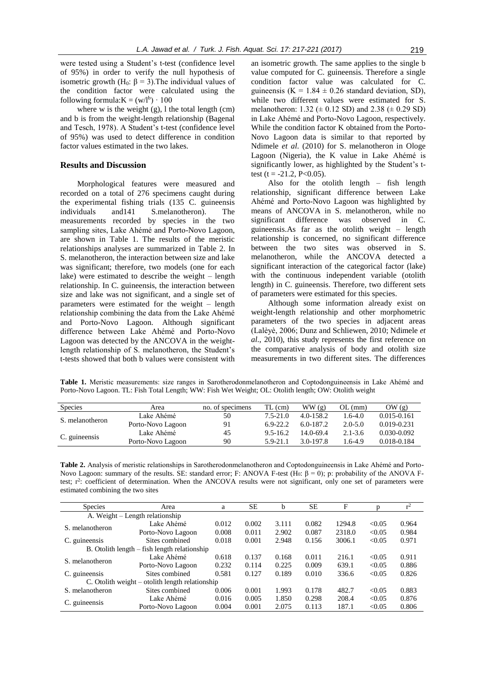were tested using a Student's t-test (confidence level of 95%) in order to verify the null hypothesis of isometric growth (H<sub>0</sub>:  $\beta = 3$ ). The individual values of the condition factor were calculated using the following formula: $K = (w/l<sup>b</sup>) \cdot 100$ 

where w is the weight (g), l the total length (cm) and b is from the weight-length relationship (Bagenal and Tesch, 1978). A Student's t-test (confidence level of 95%) was used to detect difference in condition factor values estimated in the two lakes.

# **Results and Discussion**

Morphological features were measured and recorded on a total of 276 specimens caught during the experimental fishing trials (135 C. guineensis individuals and141 S.melanotheron). The measurements recorded by species in the two sampling sites, Lake Ahémé and Porto-Novo Lagoon, are shown in Table 1. The results of the meristic relationships analyses are summarized in Table 2. In S. melanotheron, the interaction between size and lake was significant; therefore, two models (one for each lake) were estimated to describe the weight – length relationship. In C. guineensis, the interaction between size and lake was not significant, and a single set of parameters were estimated for the weight – length relationship combining the data from the Lake Ahémé and Porto-Novo Lagoon. Although significant difference between Lake Ahémé and Porto-Novo Lagoon was detected by the ANCOVA in the weightlength relationship of S. melanotheron, the Student's t-tests showed that both b values were consistent with an isometric growth. The same applies to the single b value computed for C. guineensis. Therefore a single condition factor value was calculated for C. guineensis (K =  $1.84 \pm 0.26$  standard deviation, SD), while two different values were estimated for S. melanotheron:  $1.32 \ (\pm 0.12 \text{ SD})$  and  $2.38 \ (\pm 0.29 \text{ SD})$ in Lake Ahémé and Porto-Novo Lagoon, respectively. While the condition factor K obtained from the Porto-Novo Lagoon data is similar to that reported by Ndimele *et al*. (2010) for S. melanotheron in Ologe Lagoon (Nigeria), the K value in Lake Ahémé is significantly lower, as highlighted by the Student's ttest (t = -21.2, P<0.05).

Also for the otolith length – fish length relationship, significant difference between Lake Ahémé and Porto-Novo Lagoon was highlighted by means of ANCOVA in S. melanotheron, while no significant difference was observed in C. guineensis.As far as the otolith weight – length relationship is concerned, no significant difference between the two sites was observed in S. melanotheron, while the ANCOVA detected a significant interaction of the categorical factor (lake) with the continuous independent variable (otolith length) in C. guineensis. Therefore, two different sets of parameters were estimated for this species.

Although some information already exist on weight-length relationship and other morphometric parameters of the two species in adjacent areas (Lalèyè, 2006; Dunz and Schliewen, 2010; Ndimele *et al*., 2010), this study represents the first reference on the comparative analysis of body and otolith size measurements in two different sites. The differences

**Table 1.** Meristic measurements: size ranges in Sarotherodonmelanotheron and Coptodonguineensis in Lake Ahémé and Porto-Novo Lagoon. TL: Fish Total Length; WW: Fish Wet Weight; OL: Otolith length; OW: Otolith weight

| Species         | Area              | no. of specimens | TL (cm)      | WW(g)         | $OL$ (mm)   | OW(g)           |
|-----------------|-------------------|------------------|--------------|---------------|-------------|-----------------|
| S. melanotheron | Lake Ahémé        | 50               | $7.5 - 21.0$ | $4.0 - 158.2$ | 1.6-4.0     | $0.015 - 0.161$ |
|                 | Porto-Novo Lagoon | 91               | $6.9 - 22.2$ | $6.0 - 187.2$ | $2.0 - 5.0$ | $0.019 - 0.231$ |
| C. guineensis   | Lake Ahémé        | 45               | $9.5 - 16.2$ | $14.0 - 69.4$ | $2.1 - 3.6$ | 0.030-0.092     |
|                 | Porto-Novo Lagoon | 90               | $5.9 - 21.1$ | 3.0-197.8     | 1.6-4.9     | 0.018-0.184     |

**Table 2.** Analysis of meristic relationships in Sarotherodonmelanotheron and Coptodonguineensis in Lake Ahémé and Porto-Novo Lagoon: summary of the results. SE: standard error; F: ANOVA F-test (H<sub>0</sub>: β = 0); p: probability of the ANOVA Ftest; r<sup>2</sup>: coefficient of determination. When the ANCOVA results were not significant, only one set of parameters were estimated combining the two sites

| Species                                          | Area              | a     | <b>SE</b> | b     | <b>SE</b> | F      |        |       |
|--------------------------------------------------|-------------------|-------|-----------|-------|-----------|--------|--------|-------|
| A. Weight – Length relationship                  |                   |       |           |       |           |        |        |       |
| S. melanotheron                                  | Lake Ahémé        | 0.012 | 0.002     | 3.111 | 0.082     | 1294.8 | < 0.05 | 0.964 |
|                                                  | Porto-Novo Lagoon | 0.008 | 0.011     | 2.902 | 0.087     | 2318.0 | < 0.05 | 0.984 |
| C. guineensis                                    | Sites combined    | 0.018 | 0.001     | 2.948 | 0.156     | 3006.1 | < 0.05 | 0.971 |
| $B.$ Otolith length $-$ fish length relationship |                   |       |           |       |           |        |        |       |
| S. melanotheron                                  | Lake Ahémé        | 0.618 | 0.137     | 0.168 | 0.011     | 216.1  | < 0.05 | 0.911 |
|                                                  | Porto-Novo Lagoon | 0.232 | 0.114     | 0.225 | 0.009     | 639.1  | < 0.05 | 0.886 |
| C. guineensis                                    | Sites combined    | 0.581 | 0.127     | 0.189 | 0.010     | 336.6  | < 0.05 | 0.826 |
| C. Otolith weight – otolith length relationship  |                   |       |           |       |           |        |        |       |
| S. melanotheron                                  | Sites combined    | 0.006 | 0.001     | 1.993 | 0.178     | 482.7  | < 0.05 | 0.883 |
| C. guineensis                                    | Lake Ahémé        | 0.016 | 0.005     | 1.850 | 0.298     | 208.4  | < 0.05 | 0.876 |
|                                                  | Porto-Novo Lagoon | 0.004 | 0.001     | 2.075 | 0.113     | 187.1  | < 0.05 | 0.806 |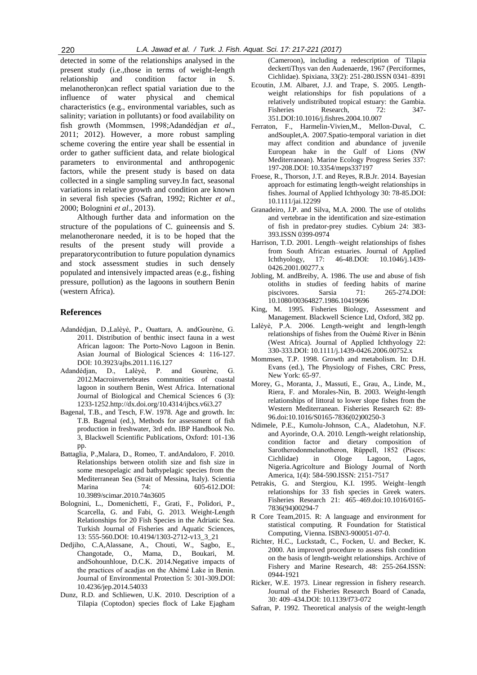detected in some of the relationships analysed in the present study (i.e.,those in terms of weight-length relationship and condition factor in S. melanotheron)can reflect spatial variation due to the influence of water physical and chemical characteristics (e.g., environmental variables, such as salinity; variation in pollutants) or food availability on fish growth (Mommsen, 1998;Adandédjan *et al*., 2011; 2012). However, a more robust sampling scheme covering the entire year shall be essential in order to gather sufficient data, and relate biological parameters to environmental and anthropogenic factors, while the present study is based on data collected in a single sampling survey.In fact, seasonal variations in relative growth and condition are known in several fish species (Safran, 1992; Richter *et al*., 2000; Bolognini *et al*., 2013).

Although further data and information on the structure of the populations of C. guineensis and S. melanotheronare needed, it is to be hoped that the results of the present study will provide a preparatorycontribution to future population dynamics and stock assessment studies in such densely populated and intensively impacted areas (e.g., fishing pressure, pollution) as the lagoons in southern Benin (western Africa).

#### **References**

- Adandédjan, D.,Lalèyè, P., Ouattara, A. andGourène, G. 2011. Distribution of benthic insect fauna in a west African lagoon: The Porto-Novo Lagoon in Benin. Asian Journal of Biological Sciences 4: 116-127. DOI: 10.3923/ajbs.2011.116.127
- Adandédjan, D., Lalèyè, P. and Gourène, G. 2012.Macroinvertebrates communities of coastal lagoon in southern Benin, West Africa. International Journal of Biological and Chemical Sciences 6 (3): 1233-1252.http://dx.doi.org/10.4314/ijbcs.v6i3.27
- Bagenal, T.B., and Tesch, F.W. 1978. Age and growth. In: T.B. Bagenal (ed.), Methods for assessment of fish production in freshwater, 3rd edn. IBP Handbook No. 3, Blackwell Scientific Publications, Oxford: 101-136 pp.
- Battaglia, P.,Malara, D., Romeo, T. andAndaloro, F. 2010. Relationships between otolith size and fish size in some mesopelagic and bathypelagic species from the Mediterranean Sea (Strait of Messina, Italy). Scientia Marina 74: 605-612.DOI: 10.3989/scimar.2010.74n3605
- Bolognini, L., Domenichetti, F., Grati, F., Polidori, P., Scarcella, G. and Fabi, G. 2013. Weight-Length Relationships for 20 Fish Species in the Adriatic Sea. Turkish Journal of Fisheries and Aquatic Sciences, 13: 555-560.DOI: 10.4194/1303-2712-v13\_3\_21
- Dedjiho, C.A,Alassane, A., Chouti, W., Sagbo, E., Changotade, O., Mama, D., Boukari, M. andSohounhloue, D.C.K. 2014.Negative impacts of the practices of acadjas on the Ahémé Lake in Benin. Journal of Environmental Protection 5: 301-309.DOI: 10.4236/jep.2014.54033
- Dunz, R.D. and Schliewen, U.K. 2010. Description of a Tilapia (Coptodon) species flock of Lake Ejagham

(Cameroon), including a redescription of Tilapia deckertiThys van den Audenaerde, 1967 (Perciformes, Cichlidae). Spixiana, 33(2): 251-280.ISSN 0341–8391

- Ecoutin, J.M. Albaret, J.J. and Trape, S. 2005. Lengthweight relationships for fish populations of a relatively undistributed tropical estuary: the Gambia. Fisheries Research, 72: 347-351.DOI:10.1016/j.fishres.2004.10.007
- Ferraton, F., Harmelin-Vivien,M., Mellon-Duval, C. andSouplet,A. 2007.Spatio-temporal variation in diet may affect condition and abundance of juvenile European hake in the Gulf of Lions (NW Mediterranean). Marine Ecology Progress Series 337: 197-208.DOI: 10.3354/meps337197
- Froese, R., Thorson, J.T. and Reyes, R.B.Jr. 2014. Bayesian approach for estimating length-weight relationships in fishes. Journal of Applied Ichthyology 30: 78-85.DOI: 10.1111/jai.12299
- Granadeiro, J.P. and Silva, M.A. 2000. The use of otoliths and vertebrae in the identification and size-estimation of fish in predator-prey studies. Cybium 24: 383- 393.ISSN 0399-0974
- Harrison, T.D. 2001. Length–weight relationships of fishes from South African estuaries. Journal of Applied Ichthyology, 17: 46-48.DOI: 10.1046/j.1439- 0426.2001.00277.x
- Jobling, M. andBreiby, A. 1986. The use and abuse of fish otoliths in studies of feeding habits of marine piscivores. Sarsia 71: 265-274.DOI: 10.1080/00364827.1986.10419696
- King, M. 1995. Fisheries Biology, Assessment and Management. Blackwell Science Ltd, Oxford, 382 pp.
- Lalèyè, P.A. 2006. Length-weight and length-length relationships of fishes from the Ouémé River in Bénin (West Africa). Journal of Applied Ichthyology 22: 330-333.DOI: 10.1111/j.1439-0426.2006.00752.x
- Mommsen, T.P. 1998. Growth and metabolism. In: D.H. Evans (ed.), The Physiology of Fishes, CRC Press, New York: 65-97.
- Morey, G., Moranta, J., Massuti, E., Grau, A., Linde, M., Riera, F. and Morales-Nin, B. 2003. Weight-length relationships of littoral to lower slope fishes from the Western Mediterranean. Fisheries Research 62: 89- 96.doi:10.1016/S0165-7836(02)00250-3
- Ndimele, P.E., Kumolu-Johnson, C.A., Aladetohun, N.F. and Ayorinde, O.A. 2010. Length-weight relationship, condition factor and dietary composition of Sarotherodonmelanotheron, Rüppell, 1852 (Pisces: Cichlidae) in Ologe Lagoon, Lagos, Nigeria.Agricolture and Biology Journal of North America, 1(4): 584-590.ISSN: 2151-7517
- Petrakis, G. and Stergiou, K.I. 1995. Weight–length relationships for 33 fish species in Greek waters. Fisheries Research 21: 465–469.doi:10.1016/0165- 7836(94)00294-7
- R Core Team,2015. R: A language and environment for statistical computing. R Foundation for Statistical Computing, Vienna. ISBN3-900051-07-0.
- Richter, H.C., Luckstadt, C., Focken, U. and Becker, K. 2000. An improved procedure to assess fish condition on the basis of length-weight relationships. Archive of Fishery and Marine Research, 48: 255-264.ISSN: 0944-1921
- Ricker, W.E. 1973. Linear regression in fishery research. Journal of the Fisheries Research Board of Canada, 30: 409–434.DOI: 10.1139/f73-072
- Safran, P. 1992. Theoretical analysis of the weight-length